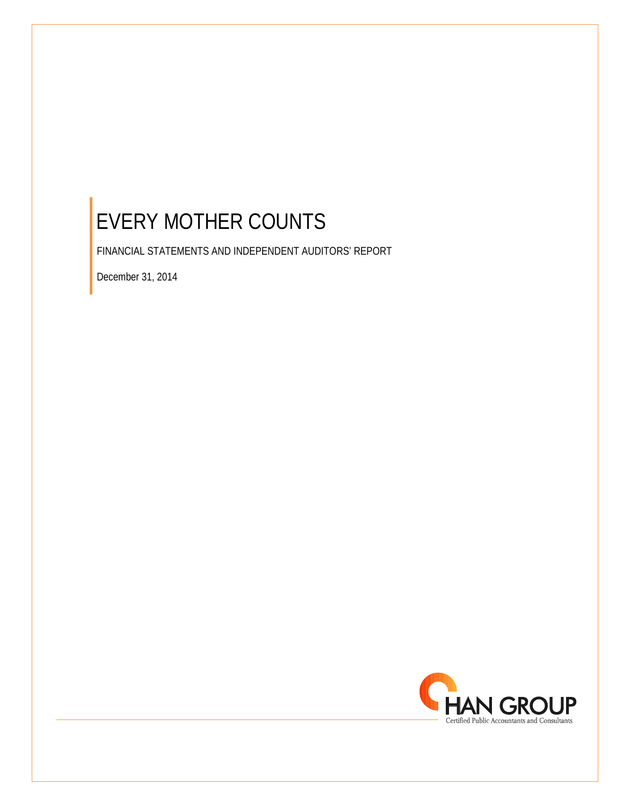FINANCIAL STATEMENTS AND INDEPENDENT AUDITORS' REPORT

December 31, 2014

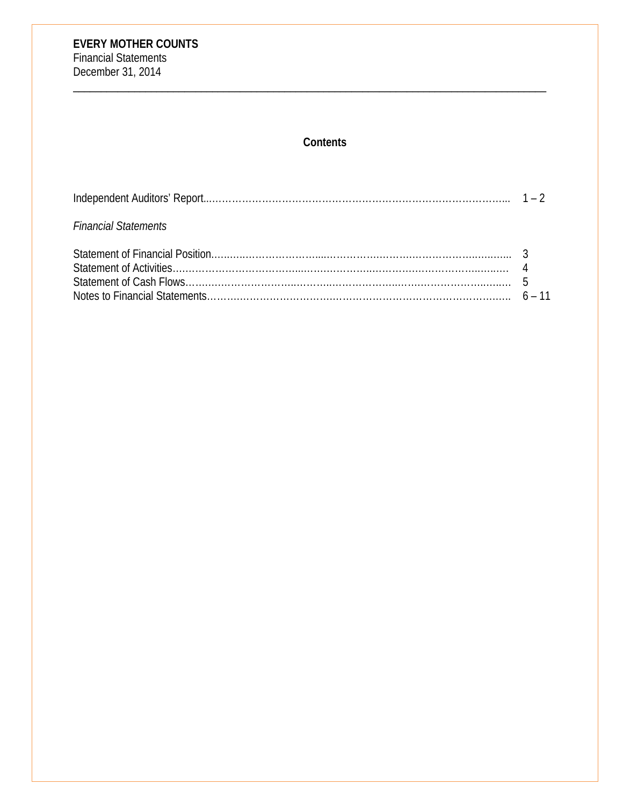# **Contents**

\_\_\_\_\_\_\_\_\_\_\_\_\_\_\_\_\_\_\_\_\_\_\_\_\_\_\_\_\_\_\_\_\_\_\_\_\_\_\_\_\_\_\_\_\_\_\_\_\_\_\_\_\_\_\_\_\_\_\_\_\_\_\_\_\_\_\_\_\_\_\_\_\_\_\_\_\_\_\_\_\_\_\_\_\_

| <b>Financial Statements</b> |  |
|-----------------------------|--|
|                             |  |
|                             |  |
|                             |  |
|                             |  |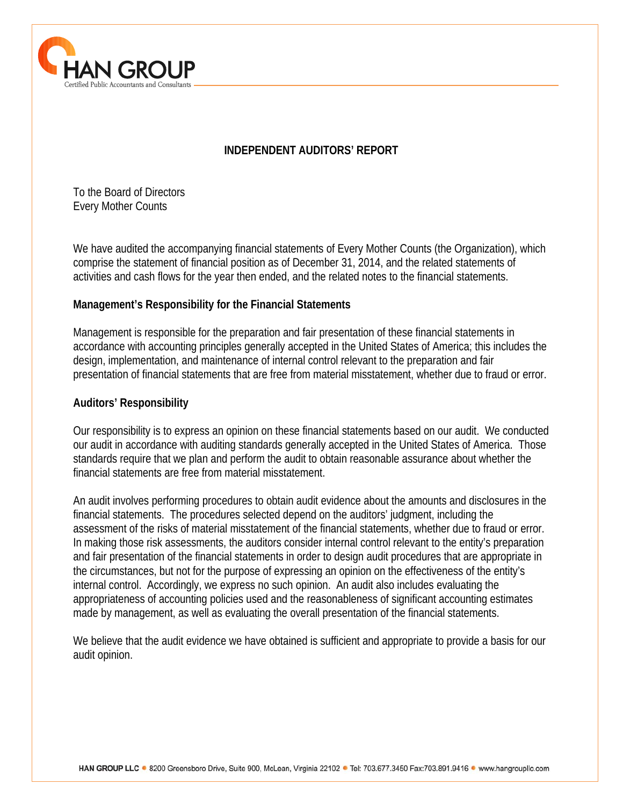

## **INDEPENDENT AUDITORS' REPORT**

To the Board of Directors Every Mother Counts

We have audited the accompanying financial statements of Every Mother Counts (the Organization), which comprise the statement of financial position as of December 31, 2014, and the related statements of activities and cash flows for the year then ended, and the related notes to the financial statements.

#### **Management's Responsibility for the Financial Statements**

Management is responsible for the preparation and fair presentation of these financial statements in accordance with accounting principles generally accepted in the United States of America; this includes the design, implementation, and maintenance of internal control relevant to the preparation and fair presentation of financial statements that are free from material misstatement, whether due to fraud or error.

#### **Auditors' Responsibility**

 $\overline{a}$ 

Our responsibility is to express an opinion on these financial statements based on our audit. We conducted our audit in accordance with auditing standards generally accepted in the United States of America. Those standards require that we plan and perform the audit to obtain reasonable assurance about whether the financial statements are free from material misstatement.

An audit involves performing procedures to obtain audit evidence about the amounts and disclosures in the financial statements. The procedures selected depend on the auditors' judgment, including the assessment of the risks of material misstatement of the financial statements, whether due to fraud or error. In making those risk assessments, the auditors consider internal control relevant to the entity's preparation and fair presentation of the financial statements in order to design audit procedures that are appropriate in the circumstances, but not for the purpose of expressing an opinion on the effectiveness of the entity's internal control. Accordingly, we express no such opinion. An audit also includes evaluating the appropriateness of accounting policies used and the reasonableness of significant accounting estimates made by management, as well as evaluating the overall presentation of the financial statements.

We believe that the audit evidence we have obtained is sufficient and appropriate to provide a basis for our audit opinion.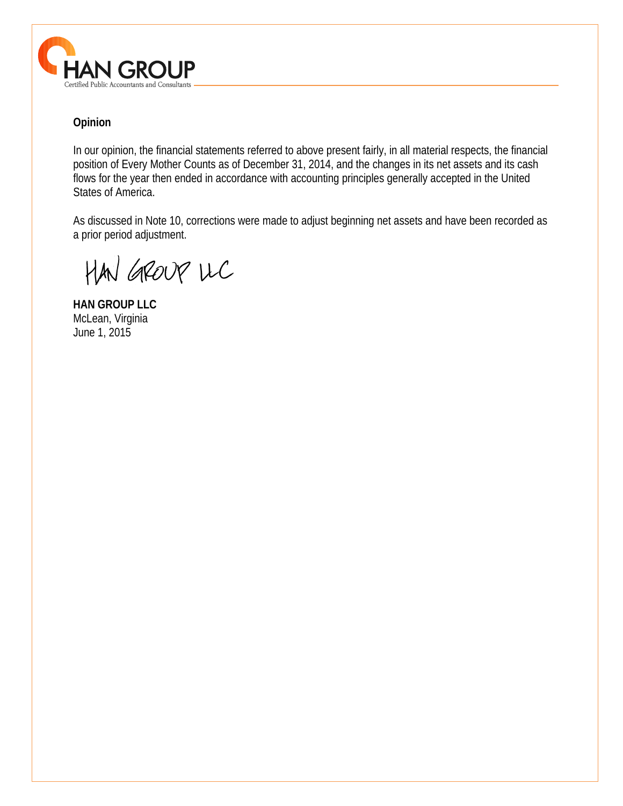

#### **Opinion**

In our opinion, the financial statements referred to above present fairly, in all material respects, the financial position of Every Mother Counts as of December 31, 2014, and the changes in its net assets and its cash flows for the year then ended in accordance with accounting principles generally accepted in the United States of America.

As discussed in Note 10, corrections were made to adjust beginning net assets and have been recorded as a prior period adjustment.

HAN GROUP LC

**HAN GROUP LLC**  McLean, Virginia June 1, 2015

 $\overline{a}$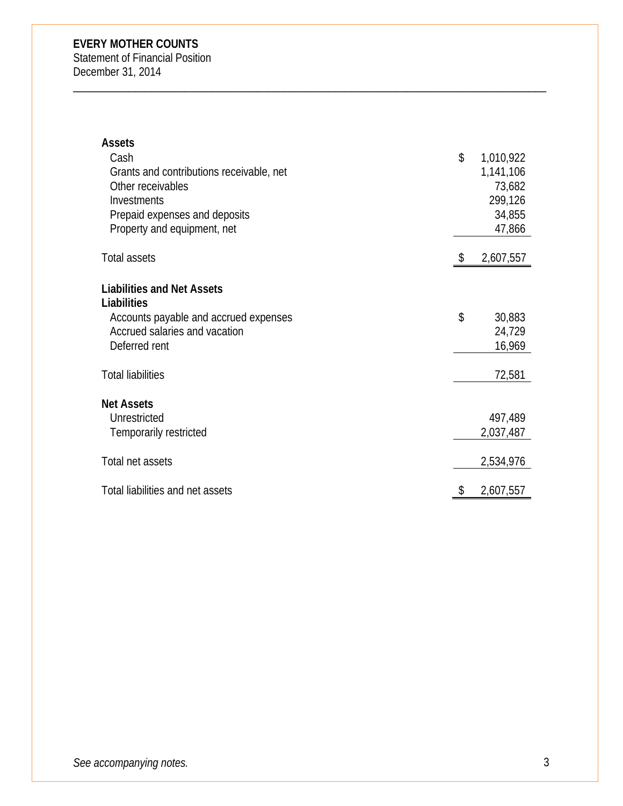Statement of Financial Position December 31, 2014

| <b>Assets</b>                            |    |           |
|------------------------------------------|----|-----------|
| Cash                                     | \$ | 1,010,922 |
| Grants and contributions receivable, net |    | 1,141,106 |
| Other receivables                        |    | 73,682    |
| Investments                              |    | 299,126   |
| Prepaid expenses and deposits            |    | 34,855    |
| Property and equipment, net              |    | 47,866    |
|                                          |    |           |
| <b>Total assets</b>                      | S  | 2,607,557 |
|                                          |    |           |
| <b>Liabilities and Net Assets</b>        |    |           |
| Liabilities                              |    |           |
| Accounts payable and accrued expenses    | \$ | 30,883    |
| Accrued salaries and vacation            |    | 24,729    |
| Deferred rent                            |    | 16,969    |
| <b>Total liabilities</b>                 |    | 72,581    |
|                                          |    |           |
| <b>Net Assets</b>                        |    |           |
| Unrestricted                             |    | 497,489   |
| Temporarily restricted                   |    | 2,037,487 |
|                                          |    |           |
| Total net assets                         |    | 2,534,976 |
|                                          |    |           |
| Total liabilities and net assets         | \$ | 2,607,557 |

\_\_\_\_\_\_\_\_\_\_\_\_\_\_\_\_\_\_\_\_\_\_\_\_\_\_\_\_\_\_\_\_\_\_\_\_\_\_\_\_\_\_\_\_\_\_\_\_\_\_\_\_\_\_\_\_\_\_\_\_\_\_\_\_\_\_\_\_\_\_\_\_\_\_\_\_\_\_\_\_\_\_\_\_\_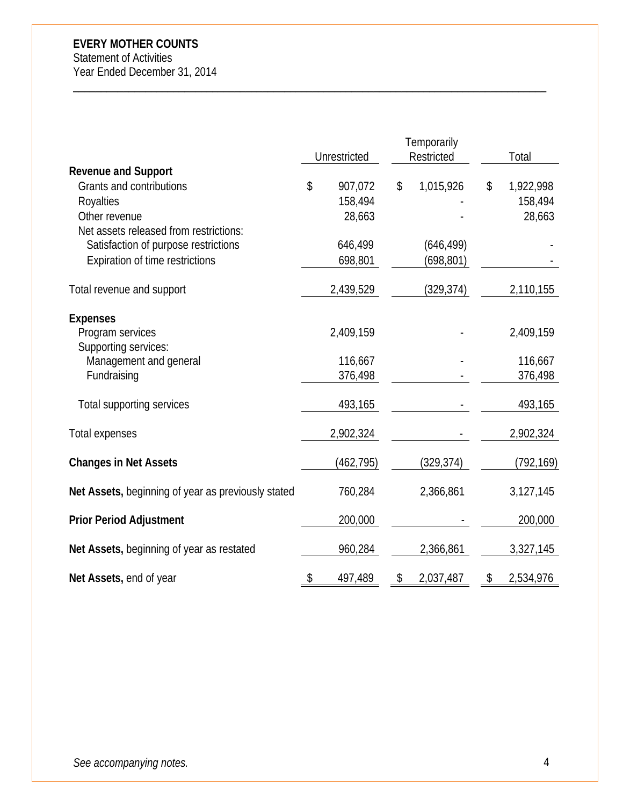Statement of Activities

Year Ended December 31, 2014 \_\_\_\_\_\_\_\_\_\_\_\_\_\_\_\_\_\_\_\_\_\_\_\_\_\_\_\_\_\_\_\_\_\_\_\_\_\_\_\_\_\_\_\_\_\_\_\_\_\_\_\_\_\_\_\_\_\_\_\_\_\_\_\_\_\_\_\_\_\_\_\_\_\_\_\_\_\_\_\_\_\_\_\_\_

|                                                    | Unrestricted       | Temporarily<br>Restricted | Total           |
|----------------------------------------------------|--------------------|---------------------------|-----------------|
| <b>Revenue and Support</b>                         |                    |                           |                 |
| Grants and contributions                           | \$<br>907,072      | \$<br>1,015,926           | \$<br>1,922,998 |
| Royalties                                          | 158,494            |                           | 158,494         |
| Other revenue                                      | 28,663             |                           | 28,663          |
| Net assets released from restrictions:             |                    |                           |                 |
| Satisfaction of purpose restrictions               | 646,499            | (646, 499)                |                 |
| Expiration of time restrictions                    | 698,801            | (698, 801)                |                 |
| Total revenue and support                          | 2,439,529          | (329, 374)                | 2,110,155       |
| <b>Expenses</b>                                    |                    |                           |                 |
| Program services                                   | 2,409,159          |                           | 2,409,159       |
| Supporting services:                               |                    |                           |                 |
| Management and general                             | 116,667<br>376,498 |                           | 116,667         |
| Fundraising                                        |                    |                           | 376,498         |
| Total supporting services                          | 493,165            |                           | 493,165         |
| Total expenses                                     | 2,902,324          |                           | 2,902,324       |
| <b>Changes in Net Assets</b>                       | (462, 795)         | (329, 374)                | (792, 169)      |
|                                                    |                    |                           |                 |
| Net Assets, beginning of year as previously stated | 760,284            | 2,366,861                 | 3,127,145       |
| <b>Prior Period Adjustment</b>                     | 200,000            |                           | 200,000         |
| Net Assets, beginning of year as restated          | 960,284            | 2,366,861                 | 3,327,145       |
| Net Assets, end of year                            | \$<br>497,489      | \$<br>2,037,487           | \$<br>2,534,976 |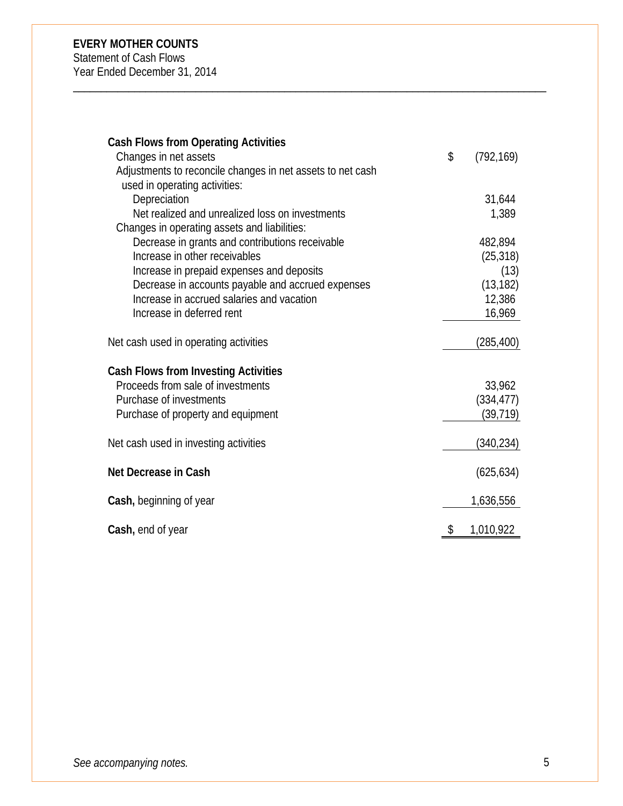Statement of Cash Flows

Year Ended December 31, 2014

| <b>Cash Flows from Operating Activities</b>                |                  |
|------------------------------------------------------------|------------------|
| Changes in net assets                                      | \$<br>(792, 169) |
| Adjustments to reconcile changes in net assets to net cash |                  |
| used in operating activities:                              |                  |
| Depreciation                                               | 31,644           |
| Net realized and unrealized loss on investments            | 1,389            |
| Changes in operating assets and liabilities:               |                  |
| Decrease in grants and contributions receivable            | 482,894          |
| Increase in other receivables                              | (25, 318)        |
| Increase in prepaid expenses and deposits                  | (13)             |
| Decrease in accounts payable and accrued expenses          | (13, 182)        |
| Increase in accrued salaries and vacation                  | 12,386           |
| Increase in deferred rent                                  | 16,969           |
| Net cash used in operating activities                      | (285, 400)       |
| <b>Cash Flows from Investing Activities</b>                |                  |
| Proceeds from sale of investments                          | 33,962           |
| Purchase of investments                                    | (334, 477)       |
| Purchase of property and equipment                         | (39,719)         |
| Net cash used in investing activities                      | (340, 234)       |
| Net Decrease in Cash                                       | (625, 634)       |
| Cash, beginning of year                                    | 1,636,556        |
| Cash, end of year                                          | \$<br>1,010,922  |

\_\_\_\_\_\_\_\_\_\_\_\_\_\_\_\_\_\_\_\_\_\_\_\_\_\_\_\_\_\_\_\_\_\_\_\_\_\_\_\_\_\_\_\_\_\_\_\_\_\_\_\_\_\_\_\_\_\_\_\_\_\_\_\_\_\_\_\_\_\_\_\_\_\_\_\_\_\_\_\_\_\_\_\_\_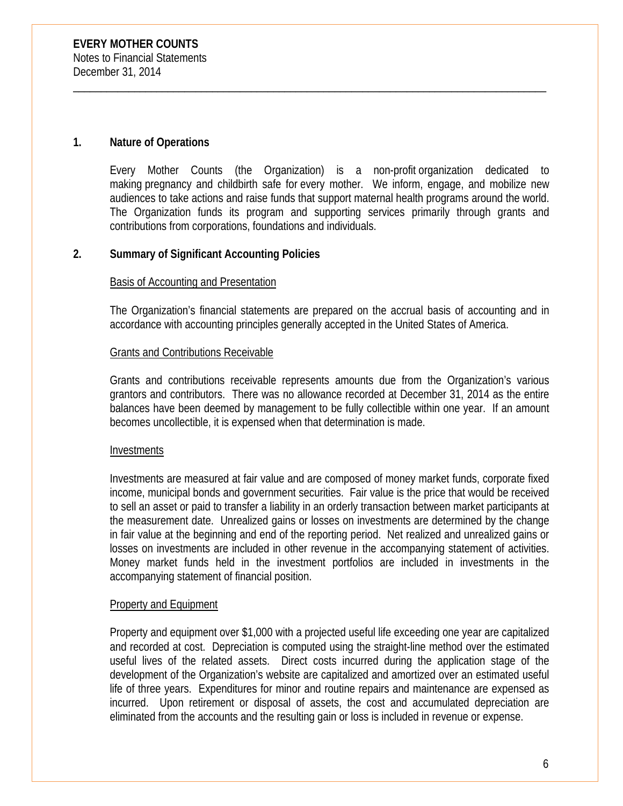#### **1. Nature of Operations**

Every Mother Counts (the Organization) is a non-profit organization dedicated to making pregnancy and childbirth safe for every mother. We inform, engage, and mobilize new audiences to take actions and raise funds that support maternal health programs around the world. The Organization funds its program and supporting services primarily through grants and contributions from corporations, foundations and individuals.

\_\_\_\_\_\_\_\_\_\_\_\_\_\_\_\_\_\_\_\_\_\_\_\_\_\_\_\_\_\_\_\_\_\_\_\_\_\_\_\_\_\_\_\_\_\_\_\_\_\_\_\_\_\_\_\_\_\_\_\_\_\_\_\_\_\_\_\_\_\_\_\_\_\_\_\_\_\_\_\_\_\_\_\_\_

#### **2. Summary of Significant Accounting Policies**

#### Basis of Accounting and Presentation

The Organization's financial statements are prepared on the accrual basis of accounting and in accordance with accounting principles generally accepted in the United States of America.

#### Grants and Contributions Receivable

Grants and contributions receivable represents amounts due from the Organization's various grantors and contributors. There was no allowance recorded at December 31, 2014 as the entire balances have been deemed by management to be fully collectible within one year. If an amount becomes uncollectible, it is expensed when that determination is made.

#### Investments

Investments are measured at fair value and are composed of money market funds, corporate fixed income, municipal bonds and government securities. Fair value is the price that would be received to sell an asset or paid to transfer a liability in an orderly transaction between market participants at the measurement date. Unrealized gains or losses on investments are determined by the change in fair value at the beginning and end of the reporting period. Net realized and unrealized gains or losses on investments are included in other revenue in the accompanying statement of activities. Money market funds held in the investment portfolios are included in investments in the accompanying statement of financial position.

#### Property and Equipment

Property and equipment over \$1,000 with a projected useful life exceeding one year are capitalized and recorded at cost. Depreciation is computed using the straight-line method over the estimated useful lives of the related assets. Direct costs incurred during the application stage of the development of the Organization's website are capitalized and amortized over an estimated useful life of three years. Expenditures for minor and routine repairs and maintenance are expensed as incurred. Upon retirement or disposal of assets, the cost and accumulated depreciation are eliminated from the accounts and the resulting gain or loss is included in revenue or expense.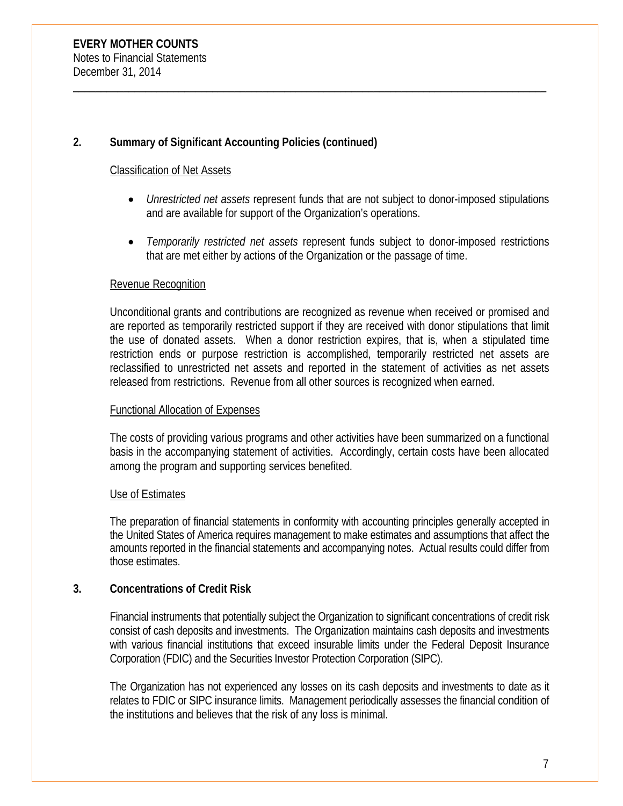## **2. Summary of Significant Accounting Policies (continued)**

#### Classification of Net Assets

 *Unrestricted net assets* represent funds that are not subject to donor-imposed stipulations and are available for support of the Organization's operations.

\_\_\_\_\_\_\_\_\_\_\_\_\_\_\_\_\_\_\_\_\_\_\_\_\_\_\_\_\_\_\_\_\_\_\_\_\_\_\_\_\_\_\_\_\_\_\_\_\_\_\_\_\_\_\_\_\_\_\_\_\_\_\_\_\_\_\_\_\_\_\_\_\_\_\_\_\_\_\_\_\_\_\_\_\_

 *Temporarily restricted net assets* represent funds subject to donor-imposed restrictions that are met either by actions of the Organization or the passage of time.

#### Revenue Recognition

Unconditional grants and contributions are recognized as revenue when received or promised and are reported as temporarily restricted support if they are received with donor stipulations that limit the use of donated assets. When a donor restriction expires, that is, when a stipulated time restriction ends or purpose restriction is accomplished, temporarily restricted net assets are reclassified to unrestricted net assets and reported in the statement of activities as net assets released from restrictions. Revenue from all other sources is recognized when earned.

#### Functional Allocation of Expenses

The costs of providing various programs and other activities have been summarized on a functional basis in the accompanying statement of activities. Accordingly, certain costs have been allocated among the program and supporting services benefited.

#### Use of Estimates

The preparation of financial statements in conformity with accounting principles generally accepted in the United States of America requires management to make estimates and assumptions that affect the amounts reported in the financial statements and accompanying notes. Actual results could differ from those estimates.

#### **3. Concentrations of Credit Risk**

Financial instruments that potentially subject the Organization to significant concentrations of credit risk consist of cash deposits and investments. The Organization maintains cash deposits and investments with various financial institutions that exceed insurable limits under the Federal Deposit Insurance Corporation (FDIC) and the Securities Investor Protection Corporation (SIPC).

The Organization has not experienced any losses on its cash deposits and investments to date as it relates to FDIC or SIPC insurance limits. Management periodically assesses the financial condition of the institutions and believes that the risk of any loss is minimal.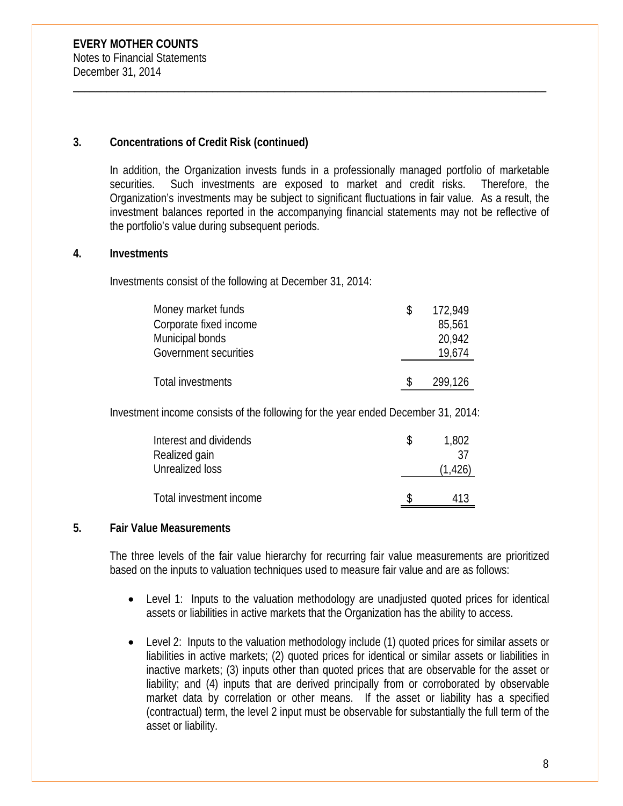#### **3. Concentrations of Credit Risk (continued)**

In addition, the Organization invests funds in a professionally managed portfolio of marketable securities. Such investments are exposed to market and credit risks. Therefore, the Organization's investments may be subject to significant fluctuations in fair value. As a result, the investment balances reported in the accompanying financial statements may not be reflective of the portfolio's value during subsequent periods.

\_\_\_\_\_\_\_\_\_\_\_\_\_\_\_\_\_\_\_\_\_\_\_\_\_\_\_\_\_\_\_\_\_\_\_\_\_\_\_\_\_\_\_\_\_\_\_\_\_\_\_\_\_\_\_\_\_\_\_\_\_\_\_\_\_\_\_\_\_\_\_\_\_\_\_\_\_\_\_\_\_\_\_\_\_

#### **4. Investments**

Investments consist of the following at December 31, 2014:

| Money market funds     | 172,949 |
|------------------------|---------|
| Corporate fixed income | 85,561  |
| Municipal bonds        | 20.942  |
| Government securities  | 19.674  |
|                        |         |
| Total investments      | 299,126 |

Investment income consists of the following for the year ended December 31, 2014:

| Interest and dividends<br>Realized gain | 1.802<br>37 |
|-----------------------------------------|-------------|
| Unrealized loss                         | (1, 426)    |
| Total investment income                 | 41 R        |

#### **5. Fair Value Measurements**

The three levels of the fair value hierarchy for recurring fair value measurements are prioritized based on the inputs to valuation techniques used to measure fair value and are as follows:

- Level 1: Inputs to the valuation methodology are unadjusted quoted prices for identical assets or liabilities in active markets that the Organization has the ability to access.
- Level 2: Inputs to the valuation methodology include (1) quoted prices for similar assets or liabilities in active markets; (2) quoted prices for identical or similar assets or liabilities in inactive markets; (3) inputs other than quoted prices that are observable for the asset or liability; and (4) inputs that are derived principally from or corroborated by observable market data by correlation or other means. If the asset or liability has a specified (contractual) term, the level 2 input must be observable for substantially the full term of the asset or liability.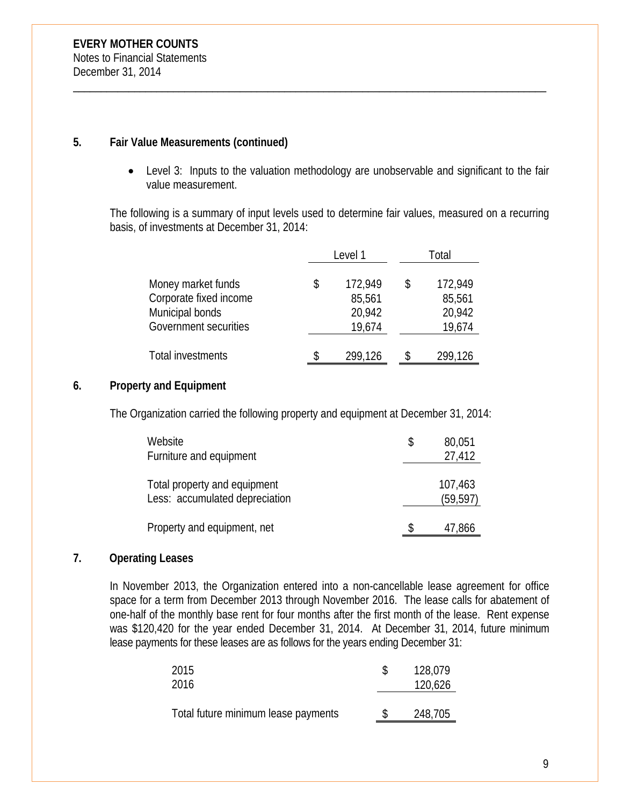#### **5. Fair Value Measurements (continued)**

 Level 3: Inputs to the valuation methodology are unobservable and significant to the fair value measurement.

The following is a summary of input levels used to determine fair values, measured on a recurring basis, of investments at December 31, 2014:

\_\_\_\_\_\_\_\_\_\_\_\_\_\_\_\_\_\_\_\_\_\_\_\_\_\_\_\_\_\_\_\_\_\_\_\_\_\_\_\_\_\_\_\_\_\_\_\_\_\_\_\_\_\_\_\_\_\_\_\_\_\_\_\_\_\_\_\_\_\_\_\_\_\_\_\_\_\_\_\_\_\_\_\_\_

|                                                                                          |    | Level 1                               | Total                                       |  |
|------------------------------------------------------------------------------------------|----|---------------------------------------|---------------------------------------------|--|
| Money market funds<br>Corporate fixed income<br>Municipal bonds<br>Government securities | \$ | 172,949<br>85,561<br>20,942<br>19,674 | \$<br>172,949<br>85,561<br>20,942<br>19,674 |  |
| Total investments                                                                        | \$ | 299,126                               | \$<br>299,126                               |  |

### **6. Property and Equipment**

The Organization carried the following property and equipment at December 31, 2014:

| Website<br>Furniture and equipment                             | \$<br>80,051<br>27,412 |
|----------------------------------------------------------------|------------------------|
| Total property and equipment<br>Less: accumulated depreciation | 107,463<br>(59, 597)   |
| Property and equipment, net                                    | 47,866                 |

## **7. Operating Leases**

In November 2013, the Organization entered into a non-cancellable lease agreement for office space for a term from December 2013 through November 2016. The lease calls for abatement of one-half of the monthly base rent for four months after the first month of the lease. Rent expense was \$120,420 for the year ended December 31, 2014. At December 31, 2014, future minimum lease payments for these leases are as follows for the years ending December 31:

| 2015<br>2016                        | 128,079<br>120,626 |
|-------------------------------------|--------------------|
| Total future minimum lease payments | 248,705            |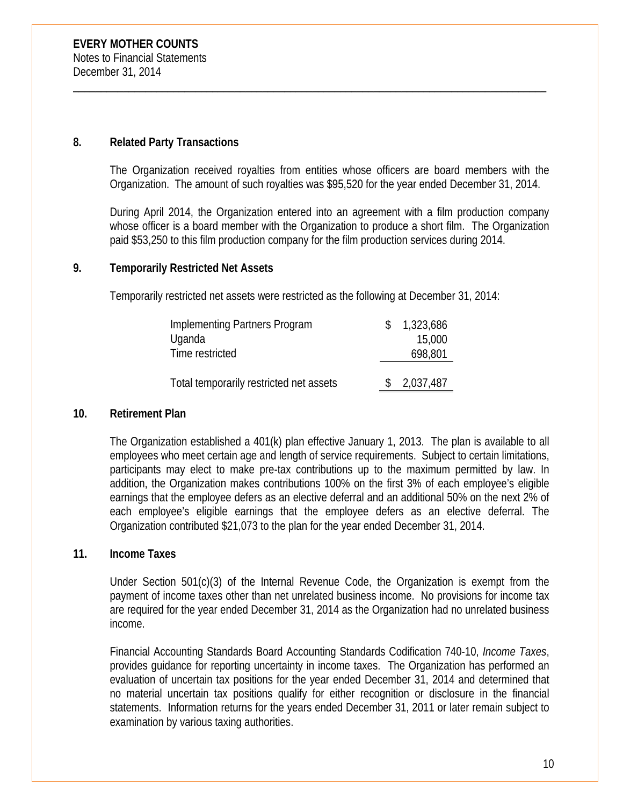#### **8. Related Party Transactions**

The Organization received royalties from entities whose officers are board members with the Organization. The amount of such royalties was \$95,520 for the year ended December 31, 2014.

\_\_\_\_\_\_\_\_\_\_\_\_\_\_\_\_\_\_\_\_\_\_\_\_\_\_\_\_\_\_\_\_\_\_\_\_\_\_\_\_\_\_\_\_\_\_\_\_\_\_\_\_\_\_\_\_\_\_\_\_\_\_\_\_\_\_\_\_\_\_\_\_\_\_\_\_\_\_\_\_\_\_\_\_\_

During April 2014, the Organization entered into an agreement with a film production company whose officer is a board member with the Organization to produce a short film. The Organization paid \$53,250 to this film production company for the film production services during 2014.

#### **9. Temporarily Restricted Net Assets**

Temporarily restricted net assets were restricted as the following at December 31, 2014:

| Implementing Partners Program           | 1,323,686 |
|-----------------------------------------|-----------|
| Uganda                                  | 15,000    |
| Time restricted                         | 698,801   |
|                                         |           |
| Total temporarily restricted net assets | 2,037,487 |

#### **10. Retirement Plan**

The Organization established a 401(k) plan effective January 1, 2013. The plan is available to all employees who meet certain age and length of service requirements. Subject to certain limitations, participants may elect to make pre-tax contributions up to the maximum permitted by law. In addition, the Organization makes contributions 100% on the first 3% of each employee's eligible earnings that the employee defers as an elective deferral and an additional 50% on the next 2% of each employee's eligible earnings that the employee defers as an elective deferral. The Organization contributed \$21,073 to the plan for the year ended December 31, 2014.

#### **11. Income Taxes**

Under Section 501(c)(3) of the Internal Revenue Code, the Organization is exempt from the payment of income taxes other than net unrelated business income. No provisions for income tax are required for the year ended December 31, 2014 as the Organization had no unrelated business income.

Financial Accounting Standards Board Accounting Standards Codification 740-10, *Income Taxes*, provides guidance for reporting uncertainty in income taxes. The Organization has performed an evaluation of uncertain tax positions for the year ended December 31, 2014 and determined that no material uncertain tax positions qualify for either recognition or disclosure in the financial statements. Information returns for the years ended December 31, 2011 or later remain subject to examination by various taxing authorities.